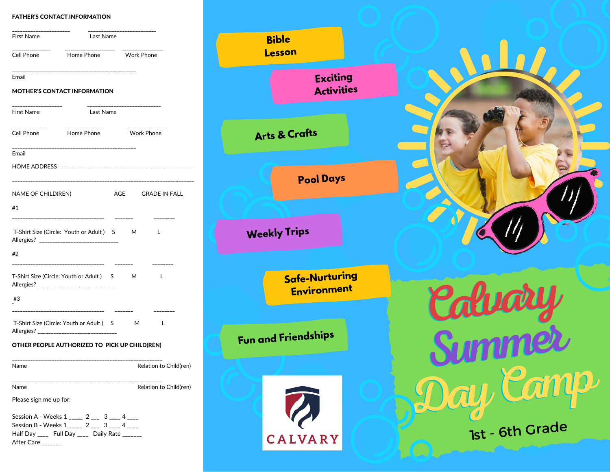#### FATHER'S CONTACT INFORMATION

| ____________________<br>First Name | Last Name                                                                               | --------------------    |  |                        |  |
|------------------------------------|-----------------------------------------------------------------------------------------|-------------------------|--|------------------------|--|
| Cell Phone                         | $\mathbb{R}^n$<br>Home Phone <b>Work Phone</b>                                          |                         |  |                        |  |
| Email                              |                                                                                         |                         |  |                        |  |
|                                    | <b>MOTHER'S CONTACT INFORMATION</b>                                                     |                         |  |                        |  |
| _____________<br>First Name        | Last Name                                                                               | _______________________ |  |                        |  |
| ---------------<br>Cell Phone      | ______________<br>Home Phone <b>Work Phone</b>                                          |                         |  |                        |  |
| Email                              |                                                                                         |                         |  |                        |  |
|                                    |                                                                                         |                         |  |                        |  |
| NAME OF CHILD(REN)                 |                                                                                         |                         |  | AGE GRADE IN FALL      |  |
| #1                                 | -------------------------------------                                                   |                         |  | ---------              |  |
|                                    | T-Shirt Size (Circle: Youth or Adult) S M<br>Allergies? _______________________________ |                         |  | L                      |  |
| #2                                 | ------------------------------------                                                    | --------                |  |                        |  |
|                                    | T-Shirt Size (Circle: Youth or Adult) S M<br>Allergies? _______________________________ |                         |  | L                      |  |
| #3                                 | --------------------------------------                                                  |                         |  |                        |  |
|                                    | T-Shirt Size (Circle: Youth or Adult) S M                                               |                         |  | L                      |  |
|                                    | OTHER PEOPLE AUTHORIZED TO PICK UP CHILD(REN)                                           |                         |  |                        |  |
| Name                               | ___________________________________                                                     |                         |  | Relation to Child(ren) |  |
| Name                               |                                                                                         |                         |  | Relation to Child(ren) |  |
|                                    |                                                                                         |                         |  |                        |  |

Session B - Weeks  $1_{\text{max}} 2_{\text{max}} 3_{\text{max}} 4_{\text{max}}$ Half Day \_\_\_\_ Full Day \_\_\_\_ Daily Rate \_\_\_\_\_\_

After Care \_\_\_\_\_\_\_



**CONTACT USING**<br>Contact US District US District US District US District US District US District US District US District US District US District US District US District US District US District US District US District US Dis

**Bible**

123 Any City, St., Any City, St., Any City, St., Any City, St., Any City, St., Any City, St., Any City, St., Any City, St., Any City, St., Any City, St., Any City, St., Any City, St., Any City, St., Any City, St., Any City

**Exciting Activities**  Calvary<br>Summer<br>Day Camp 1st - 6th Grade